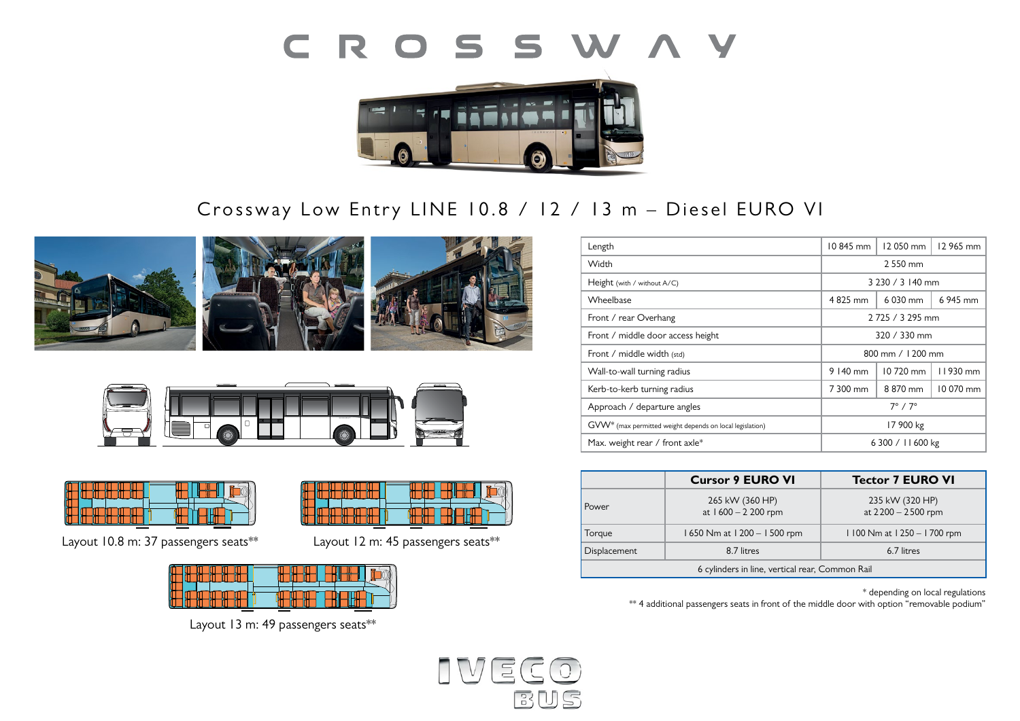



# Crossway Low Entry LINE 10.8 / 12 / 13 m - Diesel EURO VI







Layout 10.8 m: 37 passengers seats\*\* Layout 12 m: 45 passengers seats\*\*



**Layout: 8**  $\overline{a}$ 



Layout 13 m: 49 passengers seats\*\*

| Length                                                               | 10845 mm              | 12050 mm | 12 965 mm |
|----------------------------------------------------------------------|-----------------------|----------|-----------|
| Width                                                                | 2 550 mm              |          |           |
| Height (with / without A/C)                                          | 3 230 / 3 140 mm      |          |           |
| Wheelbase                                                            | 4825 mm               | 6 030 mm | 6 945 mm  |
| Front / rear Overhang                                                | 2725 / 3295 mm        |          |           |
| Front / middle door access height                                    | 320 / 330 mm          |          |           |
| Front / middle width (std)                                           | 800 mm $/$ 1200 mm    |          |           |
| Wall-to-wall turning radius                                          | 9 140 mm              | 10720 mm | 11930 mm  |
| Kerb-to-kerb turning radius                                          | 7 300 mm              | 8 870 mm | 10 070 mm |
| Approach / departure angles                                          | $7^\circ$ / $7^\circ$ |          |           |
| GVW <sup>*</sup> (max permitted weight depends on local legislation) | 17 900 kg             |          |           |
| Max. weight rear / front axle*                                       | 6 300 / 11 600 kg     |          |           |

|                                                 | <b>Cursor 9 EURO VI</b>                | <b>Tector 7 EURO VI</b>               |  |  |
|-------------------------------------------------|----------------------------------------|---------------------------------------|--|--|
| <b>Power</b>                                    | 265 kW (360 HP)<br>at 1600 - 2 200 rpm | 235 kW (320 HP)<br>at 2200 - 2500 rpm |  |  |
| Torque                                          | 1650 Nm at 1200 - 1500 rpm             | 1100 Nm at 1250 - 1700 rpm            |  |  |
| <b>Displacement</b>                             | 8.7 litres                             | 6.7 litres                            |  |  |
| 6 cylinders in line, vertical rear, Common Rail |                                        |                                       |  |  |

\* depending on local regulations

\*\* 4 additional passengers seats in front of the middle door with option "removable podium"